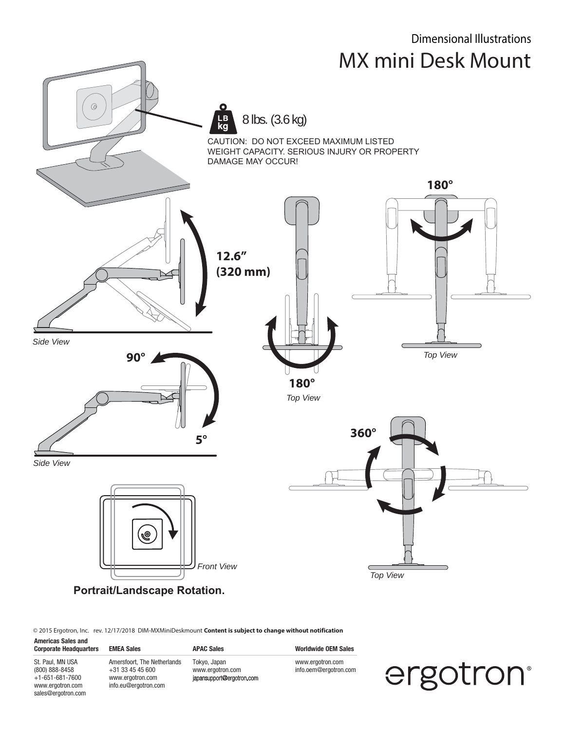

© 2015 Ergotron, Inc. rev. 12/17/2018 DIM-MXMiniDeskmount **Content is subject to change without notification**

**Americas Sales and**  Corporate Headquarters EMEA Sales **APAC Sales** APAC Sales Worldwide OEM Sales St. Paul, MN USA (800) 888-8458  $+1-651-681-7600$ www.ergotron.com Amersfoort, The Netherlands +31 33 45 45 600 www.ergotron.com info.eu@ergotron.com Tokyo, Japan www.ergotron.com<br>japansupport@ergotron.com www.ergotron.com info.oem@ergotron.com

sales@ergotron.com

ergotron®